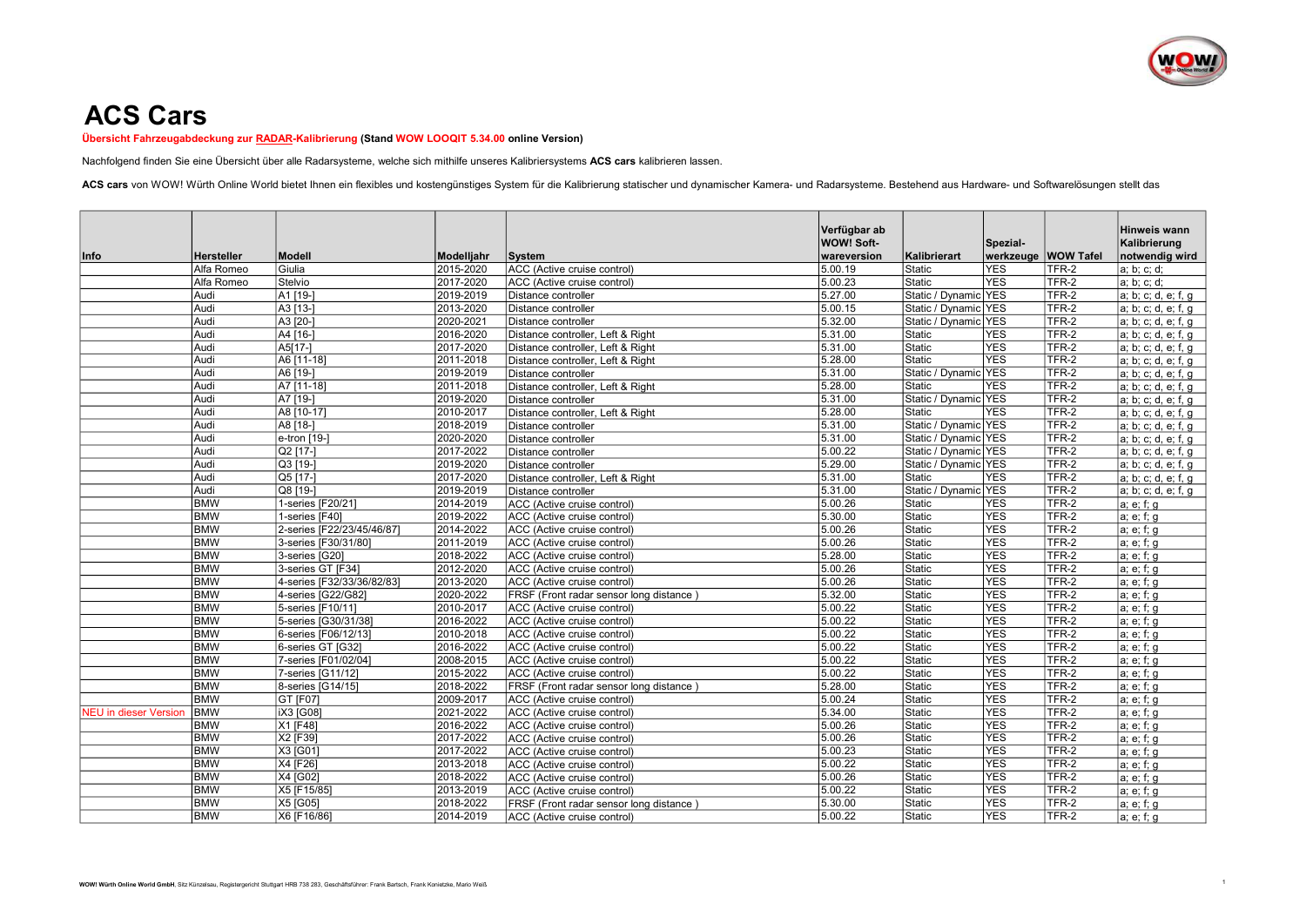

## ACS Cars

Übersicht Fahrzeugabdeckung zur RADAR-Kalibrierung (Stand WOW LOOQIT 5.34.00 online Version)

Nachfolgend finden Sie eine Übersicht über alle Radarsysteme, welche sich mithilfe unseres Kalibriersystems ACS cars kalibrieren lassen.

ACS cars von WOW! Würth Online World bietet Ihnen ein flexibles und kostengünstiges System für die Kalibrierung statischer und dynamischer Kamera- und Radarsysteme. Bestehend aus Hardware- und Softwarelösungen stellt das

|                              |                          |                            |                        |                                                            | Verfügbar ab                     |                      |                                 |                | Hinweis wann                   |
|------------------------------|--------------------------|----------------------------|------------------------|------------------------------------------------------------|----------------------------------|----------------------|---------------------------------|----------------|--------------------------------|
| Info                         | <b>Hersteller</b>        | <b>Modell</b>              | Modelljahr             | System                                                     | <b>WOW! Soft-</b><br>wareversion | Kalibrierart         | Spezial-<br>werkzeuge WOW Tafel |                | Kalibrierung<br>notwendig wird |
|                              | Alfa Romeo               | Giulia                     | 2015-2020              | ACC (Active cruise control)                                | 5.00.19                          | Static               | <b>YES</b>                      | TFR-2          | a; b; c; d;                    |
|                              | Alfa Romeo               | Stelvio                    | 2017-2020              | ACC (Active cruise control)                                | 5.00.23                          | Static               | <b>YES</b>                      | TFR-2          | a; b; c; d;                    |
|                              | Audi                     | A1 [19-]                   | 2019-2019              | Distance controller                                        | 5.27.00                          | Static / Dynamic YES |                                 | TFR-2          | a; b; c; d, e; f, g            |
|                              | Audi                     | A3 [13-]                   | 2013-2020              | Distance controller                                        | 5.00.15                          | Static / Dynamic YES |                                 | TFR-2          | a; b; c; d, e; f, g            |
|                              | Audi                     | A3 [20-]                   | 2020-2021              | Distance controller                                        | 5.32.00                          | Static / Dynamic YES |                                 | TFR-2          | a; b; c; d, e; f, g            |
|                              | Audi                     | A4 [16-]                   | 2016-2020              | Distance controller, Left & Right                          | 5.31.00                          | Static               | <b>YES</b>                      | TFR-2          | a; b; c; d, e; f, g            |
|                              | Audi                     | A5[17-]                    | 2017-2020              | Distance controller, Left & Right                          | 5.31.00                          | Static               | <b>YES</b>                      | TFR-2          | a; b; c; d, e; f, g            |
|                              | Audi                     | A6 [11-18]                 | 2011-2018              | Distance controller, Left & Right                          | 5.28.00                          | Static               | <b>YES</b>                      | TFR-2          | a; b; c; d, e; f, g            |
|                              | Audi                     | A6 [19-]                   | 2019-2019              | Distance controller                                        | 5.31.00                          | Static / Dynamic YES |                                 | TFR-2          | a; b; c; d, e; f, g            |
|                              | Audi                     | A7 [11-18]                 | 2011-2018              | Distance controller, Left & Right                          | 5.28.00                          | Static               | <b>YES</b>                      | TFR-2          | a; b; c; d, e; f, g            |
|                              | Audi                     | A7 [19-]                   | 2019-2020              | Distance controller                                        | 5.31.00                          | Static / Dynamic YES |                                 | TFR-2          | a; b; c; d, e; f, g            |
|                              | Audi                     | A8 [10-17]                 | 2010-2017              | Distance controller, Left & Right                          | 5.28.00                          | Static               | <b>YES</b>                      | TFR-2          | a; b; c; d, e; f, g            |
|                              | Audi                     | A8 [18-]                   | 2018-2019              | Distance controller                                        | 5.31.00                          | Static / Dynamic YES |                                 | TFR-2          | a; b; c; d, e; f, g            |
|                              | Audi                     | e-tron [19-]               | 2020-2020              | Distance controller                                        | 5.31.00                          | Static / Dynamic YES |                                 | TFR-2          | a; b; c; d, e; f, g            |
|                              | Audi                     | Q2 [17-]                   | 2017-2022              | Distance controller                                        | 5.00.22                          | Static / Dynamic YES |                                 | TFR-2          | a; b; c; d, e; f, g            |
|                              | Audi                     | Q3 [19-]                   | 2019-2020              | Distance controller                                        | 5.29.00                          | Static / Dynamic YES |                                 | TFR-2          | a; b; c; d, e; f, g            |
|                              | Audi                     | Q5 [17-]                   | 2017-2020              | Distance controller, Left & Right                          | 5.31.00                          | Static               | <b>YES</b>                      | TFR-2          | a; b; c; d, e; f, g            |
|                              | Audi                     | Q8 [19-]                   | 2019-2019              | Distance controller                                        | 5.31.00                          | Static / Dynamic YES |                                 | TFR-2          | a; b; c; d, e; f, g            |
|                              | <b>BMW</b>               | 1-series [F20/21]          | 2014-2019              | ACC (Active cruise control)                                | 5.00.26                          | Static               | <b>YES</b>                      | TFR-2          | a; e; f; g                     |
|                              | <b>BMW</b>               | 1-series [F40]             | 2019-2022              | ACC (Active cruise control)                                | 5.30.00                          | Static               | <b>YES</b>                      | TFR-2          | a; e; f; g                     |
|                              | <b>BMW</b>               | 2-series [F22/23/45/46/87] | 2014-2022              | ACC (Active cruise control)                                | 5.00.26                          | Static               | <b>YES</b>                      | TFR-2          | a; e; f; g                     |
|                              | <b>BMW</b>               | 3-series [F30/31/80]       | 2011-2019              | ACC (Active cruise control)                                | 5.00.26                          | Static               | <b>YES</b>                      | TFR-2          | a; e; f; g                     |
|                              | <b>BMW</b>               | 3-series [G20]             | 2018-2022              | ACC (Active cruise control)                                | 5.28.00                          | Static               | <b>YES</b>                      | TFR-2          | a; e; f; g                     |
|                              | <b>BMW</b>               | 3-series GT [F34]          | 2012-2020              | ACC (Active cruise control)                                | 5.00.26                          | Static               | <b>YES</b>                      | TFR-2          | a; e; f; g                     |
|                              | <b>BMW</b>               | 4-series [F32/33/36/82/83] | 2013-2020              | ACC (Active cruise control)                                | 5.00.26                          | Static               | <b>YES</b>                      | TFR-2          | a; e; f; g                     |
|                              | <b>BMW</b>               | 4-series [G22/G82]         | 2020-2022              | FRSF (Front radar sensor long distance                     | 5.32.00                          | Static               | <b>YES</b>                      | TFR-2          | a; e; f; g                     |
|                              | <b>BMW</b>               | 5-series [F10/11]          | 2010-2017              | ACC (Active cruise control)                                | 5.00.22                          | Static               | <b>YES</b>                      | TFR-2          | a; e; f; g                     |
|                              | <b>BMW</b>               | 5-series [G30/31/38]       | 2016-2022              | ACC (Active cruise control)                                | 5.00.22                          | Static               | <b>YES</b>                      | TFR-2          | a; e; f; g                     |
|                              | <b>BMW</b>               | 6-series [F06/12/13]       | 2010-2018              | ACC (Active cruise control)                                | 5.00.22                          | Static               | <b>YES</b>                      | TFR-2          | a; e; f; g                     |
|                              | <b>BMW</b>               | 6-series GT [G32]          | 2016-2022              | ACC (Active cruise control)                                | 5.00.22                          | Static               | <b>YES</b>                      | TFR-2          | a; e; f; g                     |
|                              | <b>BMW</b>               | 7-series [F01/02/04]       | 2008-2015              | ACC (Active cruise control)                                | 5.00.22                          | Static               | <b>YES</b>                      | TFR-2          | a; e; f; g                     |
|                              | <b>BMW</b>               | 7-series [G11/12]          | 2015-2022              | ACC (Active cruise control)                                | 5.00.22                          | Static               | <b>YES</b>                      | TFR-2          | a; e; f; g                     |
|                              | <b>BMW</b><br><b>BMW</b> | 8-series [G14/15]          | 2018-2022              | FRSF (Front radar sensor long distance)                    | 5.28.00                          | Static               | <b>YES</b><br><b>YES</b>        | TFR-2<br>TFR-2 | a; e; f; g                     |
|                              |                          | GT [F07]                   | 2009-2017              | ACC (Active cruise control)                                | 5.00.24                          | Static               |                                 |                | a; e; f; g                     |
| <b>NEU</b> in dieser Version | <b>BMW</b><br><b>BMW</b> | iX3 [G08]<br>X1 [F48]      | 2021-2022<br>2016-2022 | ACC (Active cruise control)                                | 5.34.00<br>5.00.26               | Static<br>Static     | <b>YES</b><br><b>YES</b>        | TFR-2<br>TFR-2 | a; e; f; g                     |
|                              | <b>BMW</b>               | X2 [F39]                   | 2017-2022              | ACC (Active cruise control)                                | 5.00.26                          |                      | <b>YES</b>                      | TFR-2          | a; e; f; g                     |
|                              | <b>BMW</b>               | X3 [G01]                   | 2017-2022              | ACC (Active cruise control)                                | 5.00.23                          | Static<br>Static     | <b>YES</b>                      | TFR-2          | a; e; f; g                     |
|                              | <b>BMW</b>               | X4 [F26]                   | 2013-2018              | ACC (Active cruise control)<br>ACC (Active cruise control) | 5.00.22                          | Static               | <b>YES</b>                      | TFR-2          | a; e; f; g                     |
|                              | <b>BMW</b>               | X4 [G02]                   | 2018-2022              | ACC (Active cruise control)                                | 5.00.26                          | Static               | <b>YES</b>                      | TFR-2          | a; e; f; g                     |
|                              | <b>BMW</b>               | X5 [F15/85]                | 2013-2019              | ACC (Active cruise control)                                | 5.00.22                          | Static               | <b>YES</b>                      | TFR-2          | a; e; f; g<br>a; e; f; g       |
|                              | <b>BMW</b>               | X5 [G05]                   | 2018-2022              | FRSF (Front radar sensor long distance)                    | 5.30.00                          | Static               | <b>YES</b>                      | TFR-2          | a; e; f; g                     |
|                              | <b>BMW</b>               | X6 [F16/86]                | 2014-2019              | ACC (Active cruise control)                                | 5.00.22                          | Static               | <b>YES</b>                      | TFR-2          | a; e; f; g                     |
|                              |                          |                            |                        |                                                            |                                  |                      |                                 |                |                                |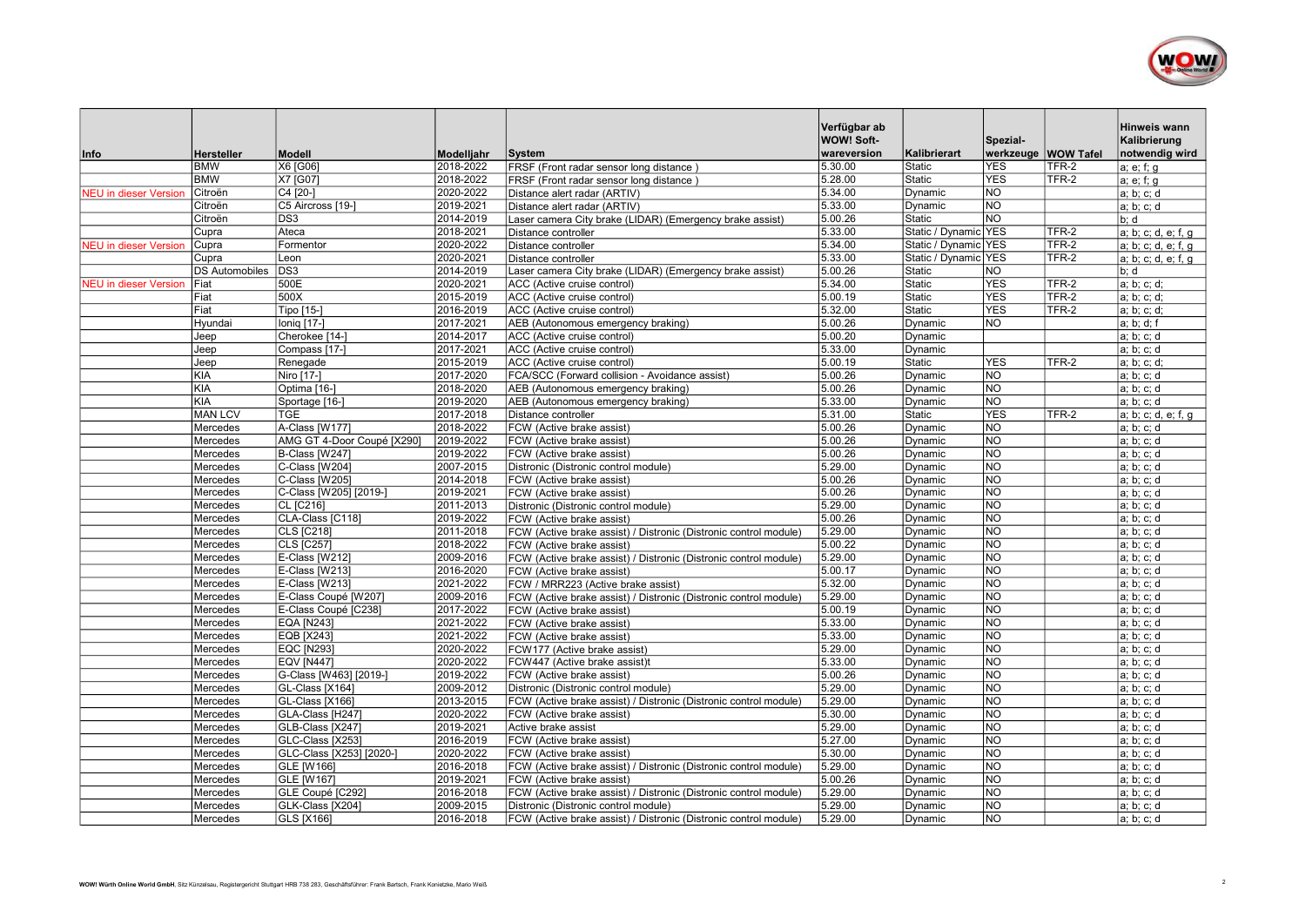

|                              |                       |                                           |                        |                                                                  | Verfügbar ab<br>WOW! Soft- |                      | Spezial-                    |       | Hinweis wann<br>Kalibrierung |
|------------------------------|-----------------------|-------------------------------------------|------------------------|------------------------------------------------------------------|----------------------------|----------------------|-----------------------------|-------|------------------------------|
| Info                         | <b>Hersteller</b>     | <b>Modell</b>                             | Modelljahr             | <b>System</b>                                                    | wareversion                | Kalibrierart         | werkzeuge WOW Tafel         |       | notwendig wird               |
|                              | <b>BMW</b>            | X6 [G06]                                  | 2018-2022              | FRSF (Front radar sensor long distance)                          | 5.30.00                    | <b>Static</b>        | <b>YES</b>                  | TFR-2 | a; e; f; g                   |
|                              | <b>BMW</b>            | X7 [G07]                                  | 2018-2022              | FRSF (Front radar sensor long distance)                          | 5.28.00                    | Static               | <b>YES</b>                  | TFR-2 | a; e; f; g                   |
| <b>NEU</b> in dieser Version | Citroën               | C4 [20-]                                  | 2020-2022              | Distance alert radar (ARTIV)                                     | 5.34.00                    | Dynamic              | <b>NO</b>                   |       | a; b; c; d                   |
|                              | Citroën               | C5 Aircross [19-]                         | 2019-2021              | Distance alert radar (ARTIV)                                     | 5.33.00                    | Dynamic              | $\overline{NO}$             |       | a; b; c; d                   |
|                              | Citroën               | DS <sub>3</sub>                           | 2014-2019              | Laser camera City brake (LIDAR) (Emergency brake assist)         | 5.00.26                    | Static               | <b>NO</b>                   |       | b; d                         |
|                              | Cupra                 | Ateca                                     | 2018-2021              | Distance controller                                              | 5.33.00                    | Static / Dynamic YES |                             | TFR-2 | a; b; c; d, e; f, q          |
| <b>JEU</b> in dieser Version | Cupra                 | Formentor                                 | 2020-2022              | Distance controller                                              | 5.34.00                    | Static / Dynamic YES |                             | TFR-2 | a; b; c; d, e; f, g          |
|                              | Cupra                 | Leon                                      | 2020-2021              | Distance controller                                              | 5.33.00                    | Static / Dynamic YES |                             | TFR-2 | a; b; c; d, e; f, g          |
|                              | <b>DS Automobiles</b> | DS <sub>3</sub>                           | 2014-2019              | Laser camera City brake (LIDAR) (Emergency brake assist)         | 5.00.26                    | Static               | NO                          |       | b: d                         |
| <b>JEU</b> in dieser Version | lFiat                 | 500E                                      | 2020-2021              | ACC (Active cruise control)                                      | 5.34.00                    | Static               | <b>YES</b>                  | TFR-2 | a; b; c; d;                  |
|                              | Fiat                  | 500X                                      | 2015-2019              | ACC (Active cruise control)                                      | 5.00.19                    | Static               | <b>YES</b>                  | TFR-2 | a; b; c; d;                  |
|                              | Fiat                  | Tipo [15-]                                | 2016-2019              | ACC (Active cruise control)                                      | 5.32.00                    | Static               | <b>YES</b>                  | TFR-2 | a; b; c; d;                  |
|                              | Hyundai               | Ionig [17-]                               | 2017-2021              | AEB (Autonomous emergency braking)                               | 5.00.26                    | Dynamic              | <b>NO</b>                   |       | a; b; d; f                   |
|                              | Jeep                  | Cherokee [14-]                            | 2014-2017              | ACC (Active cruise control)                                      | 5.00.20                    | Dynamic              |                             |       | a; b; c; d                   |
|                              | Jeep                  | Compass [17-]                             | 2017-2021              | ACC (Active cruise control)                                      | 5.33.00                    | Dynamic              |                             |       | a; b; c; d                   |
|                              | Jeep                  | Renegade                                  | 2015-2019              | ACC (Active cruise control)                                      | 5.00.19                    | Static               | <b>YES</b>                  | TFR-2 | a; b; c; d;                  |
|                              | <b>KIA</b>            | Niro [17-]                                | 2017-2020              | FCA/SCC (Forward collision - Avoidance assist)                   | 5.00.26                    | Dynamic              | <b>NO</b>                   |       | a; b; c; d                   |
|                              | <b>KIA</b>            | Optima [16-]                              | 2018-2020              | AEB (Autonomous emergency braking)                               | 5.00.26                    | Dynamic              | N <sub>O</sub>              |       | a; b; c; d                   |
|                              | <b>KIA</b>            | Sportage [16-]                            | 2019-2020              | AEB (Autonomous emergency braking)                               | 5.33.00                    | Dynamic              | <b>NO</b>                   |       | a; b; c; d                   |
|                              | MAN LCV               | <b>TGE</b>                                | 2017-2018              | Distance controller                                              | 5.31.00                    | Static               | <b>YES</b>                  | TFR-2 | a; b; c; d, e; f, g          |
|                              | Mercedes              | A-Class [W177]                            | 2018-2022              | FCW (Active brake assist)                                        | 5.00.26                    | Dynamic              | <b>NO</b>                   |       | a; b; c; d                   |
|                              | Mercedes              | AMG GT 4-Door Coupé [X290]                | 2019-2022              | FCW (Active brake assist)                                        | 5.00.26                    | Dynamic              | <b>NO</b>                   |       | a; b; c; d                   |
|                              | Mercedes              | B-Class [W247]                            | 2019-2022              | FCW (Active brake assist)                                        | 5.00.26                    | Dynamic              | N <sub>O</sub>              |       | a; b; c; d                   |
|                              | Mercedes              | C-Class [W204]                            | 2007-2015              | Distronic (Distronic control module)                             | 5.29.00                    | Dynamic              | $\overline{NO}$             |       | a; b; c; d                   |
|                              | Mercedes              | C-Class [W205]                            | 2014-2018              | FCW (Active brake assist)                                        | 5.00.26                    | Dynamic              | <b>NO</b>                   |       | a; b; c; d                   |
|                              | Mercedes              | C-Class [W205] [2019-]                    | 2019-2021              | FCW (Active brake assist)                                        | 5.00.26                    | Dynamic              | <b>NO</b>                   |       | a; b; c; d                   |
|                              | Mercedes              | CL [C216]                                 | 2011-2013              | Distronic (Distronic control module)                             | 5.29.00                    | Dynamic              | $\overline{NO}$             |       | a; b; c; d                   |
|                              | Mercedes              | CLA-Class [C118]                          | 2019-2022              | FCW (Active brake assist)                                        | 5.00.26                    | Dynamic              | <b>NO</b>                   |       | a; b; c; d                   |
|                              | Mercedes              | <b>CLS [C218]</b>                         | 2011-2018              | FCW (Active brake assist) / Distronic (Distronic control module) | 5.29.00                    | Dynamic              | <b>NO</b>                   |       | a; b; c; d                   |
|                              | Mercedes              | CLS [C257]                                | 2018-2022              | FCW (Active brake assist)                                        | 5.00.22                    | Dynamic              | N <sub>O</sub><br><b>NO</b> |       | a; b; c; d                   |
|                              | Mercedes              | E-Class [W212]                            | 2009-2016              | FCW (Active brake assist) / Distronic (Distronic control module) | 5.29.00                    | Dynamic              | NO                          |       | a; b; c; d                   |
|                              | Mercedes              | E-Class [W213]                            | 2016-2020              | FCW (Active brake assist)                                        | 5.00.17<br>5.32.00         | Dynamic<br>Dynamic   | <b>NO</b>                   |       | a; b; c; d                   |
|                              | Mercedes              | E-Class [W213]                            | 2021-2022              | FCW / MRR223 (Active brake assist)                               |                            |                      | $\overline{NO}$             |       | a; b; c; d                   |
|                              | Mercedes              | E-Class Coupé [W207]                      | 2009-2016<br>2017-2022 | FCW (Active brake assist) / Distronic (Distronic control module) | 5.29.00<br>5.00.19         | Dynamic<br>Dynamic   | NO                          |       | a; b; c; d                   |
|                              | Mercedes<br>Mercedes  | E-Class Coupé [C238]<br><b>EQA [N243]</b> | 2021-2022              | FCW (Active brake assist)                                        | 5.33.00                    | Dynamic              | $\overline{NO}$             |       | a; b; c; d<br>a; b; c; d     |
|                              | Mercedes              | <b>EQB [X243]</b>                         | 2021-2022              | FCW (Active brake assist)<br>FCW (Active brake assist)           | 5.33.00                    | Dynamic              | NO                          |       | a; b; c; d                   |
|                              | Mercedes              | <b>EQC [N293]</b>                         | 2020-2022              | FCW177 (Active brake assist)                                     | 5.29.00                    | Dynamic              | <b>NO</b>                   |       | a; b; c; d                   |
|                              | Mercedes              | <b>EQV [N447]</b>                         | 2020-2022              | FCW447 (Active brake assist)t                                    | 5.33.00                    | Dynamic              | <b>NO</b>                   |       | a; b; c; d                   |
|                              | Mercedes              | G-Class [W463] [2019-]                    | 2019-2022              | FCW (Active brake assist)                                        | 5.00.26                    | Dynamic              | <b>NO</b>                   |       | a; b; c; d                   |
|                              | Mercedes              | GL-Class [X164]                           | 2009-2012              | Distronic (Distronic control module)                             | 5.29.00                    | Dynamic              | $\overline{NO}$             |       | a; b; c; d                   |
|                              | Mercedes              | GL-Class [X166]                           | 2013-2015              | FCW (Active brake assist) / Distronic (Distronic control module) | 5.29.00                    | Dynamic              | NO)                         |       | a; b; c; d                   |
|                              | Mercedes              | GLA-Class [H247]                          | 2020-2022              | FCW (Active brake assist)                                        | 5.30.00                    | Dynamic              | <b>NO</b>                   |       | a; b; c; d                   |
|                              | Mercedes              | GLB-Class [X247]                          | 2019-2021              | Active brake assist                                              | 5.29.00                    | Dynamic              | $\overline{NO}$             |       | a; b; c; d                   |
|                              | Mercedes              | GLC-Class [X253]                          | 2016-2019              | FCW (Active brake assist)                                        | 5.27.00                    | Dynamic              | <b>NO</b>                   |       | a; b; c; d                   |
|                              | Mercedes              | GLC-Class [X253] [2020-]                  | 2020-2022              | FCW (Active brake assist)                                        | 5.30.00                    | Dynamic              | $\overline{\text{NO}}$      |       | a; b; c; d                   |
|                              | Mercedes              | GLE [W166]                                | 2016-2018              | FCW (Active brake assist) / Distronic (Distronic control module) | 5.29.00                    | Dynamic              | <b>NO</b>                   |       | a; b; c; d                   |
|                              | Mercedes              | <b>GLE [W167]</b>                         | 2019-2021              | FCW (Active brake assist)                                        | 5.00.26                    | Dynamic              | <b>NO</b>                   |       | a; b; c; d                   |
|                              | Mercedes              | GLE Coupé [C292]                          | 2016-2018              | FCW (Active brake assist) / Distronic (Distronic control module) | 5.29.00                    | Dynamic              | $\overline{NO}$             |       | a; b; c; d                   |
|                              | Mercedes              | GLK-Class [X204]                          | 2009-2015              | Distronic (Distronic control module)                             | 5.29.00                    | Dynamic              | <b>NO</b>                   |       | a; b; c; d                   |
|                              | Mercedes              | GLS [X166]                                | 2016-2018              | FCW (Active brake assist) / Distronic (Distronic control module) | 5.29.00                    | Dynamic              | <b>NO</b>                   |       | a; b; c; d                   |
|                              |                       |                                           |                        |                                                                  |                            |                      |                             |       |                              |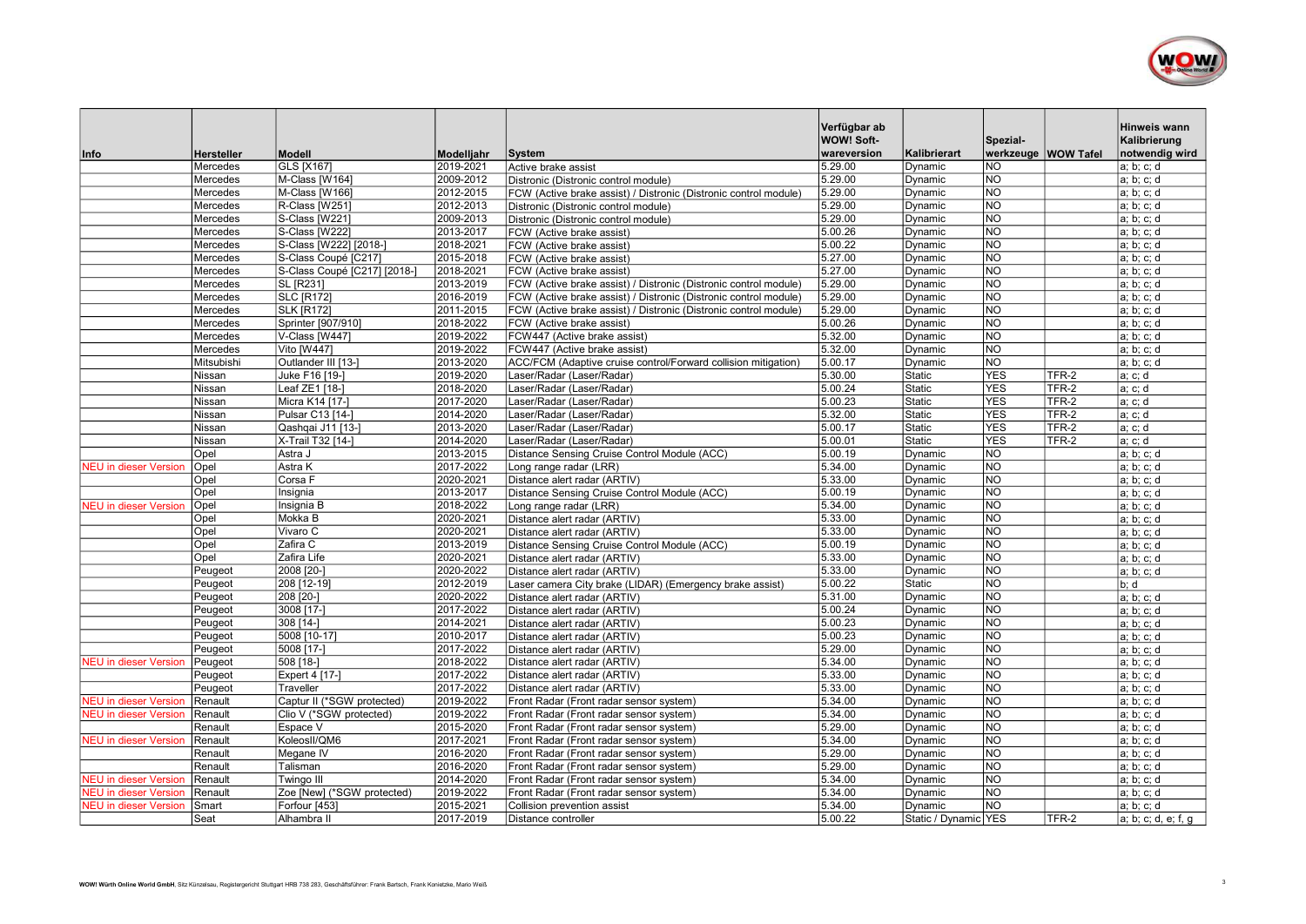

|                              |                      |                                  |                        |                                                                                                          | Verfügbar ab<br>WOW! Soft- |                      | Spezial-                               |       | Hinweis wann<br>Kalibrierung |
|------------------------------|----------------------|----------------------------------|------------------------|----------------------------------------------------------------------------------------------------------|----------------------------|----------------------|----------------------------------------|-------|------------------------------|
| Info                         | Hersteller           | Modell                           | Modelljahr             | <b>System</b>                                                                                            | wareversion<br>5.29.00     | Kalibrierart         | werkzeuge WOW Tafel<br>$\overline{NO}$ |       | notwendig wird               |
|                              | Mercedes             | GLS [X167]                       | 2019-2021<br>2009-2012 | Active brake assist                                                                                      | 5.29.00                    | Dynamic              | $\overline{NO}$                        |       | a; b; c; d                   |
|                              | Mercedes<br>Mercedes | M-Class [W164]<br>M-Class [W166] | 2012-2015              | Distronic (Distronic control module)                                                                     | 5.29.00                    | Dynamic<br>Dynamic   | <b>NO</b>                              |       | a; b; c; d<br>a; b; c; d     |
|                              | Mercedes             | R-Class [W251]                   | 2012-2013              | FCW (Active brake assist) / Distronic (Distronic control module)<br>Distronic (Distronic control module) | 5.29.00                    | Dynamic              | <b>NO</b>                              |       | a; b; c; d                   |
|                              | Mercedes             | S-Class [W221]                   | 2009-2013              | Distronic (Distronic control module)                                                                     | 5.29.00                    | Dynamic              | <b>NO</b>                              |       | a; b; c; d                   |
|                              | Mercedes             | S-Class [W222]                   | 2013-2017              | FCW (Active brake assist)                                                                                | 5.00.26                    | Dynamic              | <b>NO</b>                              |       | a; b; c; d                   |
|                              | Mercedes             | S-Class [W222] [2018-]           | 2018-2021              | FCW (Active brake assist)                                                                                | 5.00.22                    | Dynamic              | $\overline{\text{no}}$                 |       | a; b; c; d                   |
|                              | Mercedes             | S-Class Coupé [C217]             | 2015-2018              | FCW (Active brake assist)                                                                                | 5.27.00                    | Dynamic              | <b>NO</b>                              |       | a; b; c; d                   |
|                              | Mercedes             | S-Class Coupé [C217] [2018-]     | 2018-2021              | FCW (Active brake assist)                                                                                | 5.27.00                    | Dynamic              | $\overline{NO}$                        |       | a; b; c; d                   |
|                              | Mercedes             | <b>SL [R231]</b>                 | 2013-2019              | FCW (Active brake assist) / Distronic (Distronic control module)                                         | 5.29.00                    | Dynamic              | N <sub>O</sub>                         |       | a; b; c; d                   |
|                              | Mercedes             | <b>SLC [R172]</b>                | 2016-2019              | FCW (Active brake assist) / Distronic (Distronic control module)                                         | 5.29.00                    | Dynamic              | <b>NO</b>                              |       | a; b; c; d                   |
|                              | Mercedes             | SLK [R172]                       | 2011-2015              | FCW (Active brake assist) / Distronic (Distronic control module)                                         | 5.29.00                    | Dynamic              | <b>NO</b>                              |       | a; b; c; d                   |
|                              | Mercedes             | Sprinter [907/910]               | 2018-2022              | FCW (Active brake assist)                                                                                | 5.00.26                    | Dynamic              | $\overline{NQ}$                        |       | a; b; c; d                   |
|                              | Mercedes             | V-Class [W447]                   | 2019-2022              | FCW447 (Active brake assist)                                                                             | 5.32.00                    | Dynamic              | N <sub>O</sub>                         |       | a; b; c; d                   |
|                              | Mercedes             | <b>Vito [W447]</b>               | 2019-2022              | FCW447 (Active brake assist)                                                                             | 5.32.00                    | Dynamic              | <b>NO</b>                              |       | a; b; c; d                   |
|                              | Mitsubishi           | Outlander III [13-]              | 2013-2020              | ACC/FCM (Adaptive cruise control/Forward collision mitigation)                                           | 5.00.17                    | Dynamic              | $\overline{NO}$                        |       | a; b; c; d                   |
|                              | Nissan               | Juke F16 [19-]                   | 2019-2020              | Laser/Radar (Laser/Radar)                                                                                | 5.30.00                    | Static               | <b>YES</b>                             | TFR-2 | a; c; d                      |
|                              | Nissan               | Leaf ZE1 [18-]                   | 2018-2020              | Laser/Radar (Laser/Radar)                                                                                | 5.00.24                    | Static               | <b>YES</b>                             | TFR-2 | a; c; d                      |
|                              | Nissan               | Micra K14 [17-]                  | 2017-2020              | Laser/Radar (Laser/Radar)                                                                                | 5.00.23                    | Static               | <b>YES</b>                             | TFR-2 | a; c; d                      |
|                              | Nissan               | Pulsar C13 [14-]                 | 2014-2020              | Laser/Radar (Laser/Radar)                                                                                | 5.32.00                    | Static               | <b>YES</b>                             | TFR-2 | a; c; d                      |
|                              | Nissan               | Qashqai J11 [13-]                | 2013-2020              | Laser/Radar (Laser/Radar)                                                                                | 5.00.17                    | Static               | <b>YES</b>                             | TFR-2 | a; c; d                      |
|                              | Nissan               | X-Trail T32 [14-]                | 2014-2020              | Laser/Radar (Laser/Radar)                                                                                | 5.00.01                    | Static               | <b>YES</b>                             | TFR-2 | a; c; d                      |
|                              | Opel                 | Astra J                          | 2013-2015              | Distance Sensing Cruise Control Module (ACC)                                                             | 5.00.19                    | Dynamic              | <b>NO</b>                              |       | a; b; c; d                   |
| <b>NEU</b> in dieser Version | Opel                 | Astra K                          | 2017-2022              | Long range radar (LRR)                                                                                   | 5.34.00                    | Dynamic              | <b>NO</b>                              |       | a; b; c; d                   |
|                              | Opel                 | Corsa F                          | 2020-2021              | Distance alert radar (ARTIV)                                                                             | 5.33.00                    | Dynamic              | $\overline{10}$                        |       | a; b; c; d                   |
|                              | Opel                 | Insignia                         | 2013-2017              | Distance Sensing Cruise Control Module (ACC)                                                             | 5.00.19                    | Dynamic              | N <sub>O</sub>                         |       | a; b; c; d                   |
| <b>NEU in dieser Version</b> | Opel                 | Insignia B                       | 2018-2022              | Long range radar (LRR)                                                                                   | 5.34.00                    | Dynamic              | $\overline{NO}$                        |       | a; b; c; d                   |
|                              | Opel                 | Mokka B                          | 2020-2021              | Distance alert radar (ARTIV)                                                                             | 5.33.00                    | Dynamic              | <b>NO</b>                              |       | a; b; c; d                   |
|                              | Opel                 | Vivaro C                         | 2020-2021              | Distance alert radar (ARTIV)                                                                             | 5.33.00                    | Dynamic              | $\overline{NO}$                        |       | a; b; c; d                   |
|                              | Opel                 | Zafira C                         | 2013-2019              | Distance Sensing Cruise Control Module (ACC)                                                             | 5.00.19                    | Dynamic              | <b>NO</b>                              |       | a; b; c; d                   |
|                              | Opel                 | Zafira Life                      | 2020-2021              | Distance alert radar (ARTIV)                                                                             | 5.33.00                    | Dynamic              | $\overline{NO}$                        |       | a; b; c; d                   |
|                              | Peugeot              | 2008 [20-                        | 2020-2022              | Distance alert radar (ARTIV)                                                                             | 5.33.00                    | Dynamic              | $\overline{NO}$                        |       | a; b; c; d                   |
|                              | Peugeot              | 208 [12-19]                      | 2012-2019              | Laser camera City brake (LIDAR) (Emergency brake assist)                                                 | 5.00.22                    | <b>Static</b>        | <b>NO</b>                              |       | b: d                         |
|                              | Peugeot              | 208 [20-]                        | 2020-2022              | Distance alert radar (ARTIV)                                                                             | 5.31.00                    | Dynamic              | $\overline{NO}$                        |       | a; b; c; d                   |
|                              | Peugeot              | 3008 [17-]                       | 2017-2022              | Distance alert radar (ARTIV)                                                                             | 5.00.24                    | Dynamic              | <b>NO</b>                              |       | a; b; c; d                   |
|                              | Peugeot              | 308 [14-]                        | 2014-2021              | Distance alert radar (ARTIV)                                                                             | 5.00.23                    | Dynamic              | $\overline{NO}$                        |       | a; b; c; d                   |
|                              | Peugeot              | 5008 [10-17]                     | 2010-2017              | Distance alert radar (ARTIV)                                                                             | 5.00.23                    | Dynamic              | $\overline{NO}$                        |       | a; b; c; d                   |
|                              | Peugeot              | 5008 [17-]                       | 2017-2022              | Distance alert radar (ARTIV)                                                                             | 5.29.00                    | Dynamic              | $\overline{NO}$                        |       | a; b; c; d                   |
| <b>NEU</b> in dieser Version | Peugeot              | 508 [18-]                        | 2018-2022              | Distance alert radar (ARTIV)                                                                             | 5.34.00                    | Dynamic              | <b>NO</b>                              |       | a; b; c; d                   |
|                              | Peugeot              | Expert 4 [17-]                   | 2017-2022              | Distance alert radar (ARTIV)                                                                             | 5.33.00                    | Dynamic              | <b>NO</b>                              |       | a; b; c; d                   |
|                              | Peugeot              | Traveller                        | 2017-2022              | Distance alert radar (ARTIV)                                                                             | 5.33.00                    | Dynamic              | <b>NO</b>                              |       | a; b; c; d                   |
| <b>NEU</b> in dieser Version | Renault              | Captur II (*SGW protected)       | 2019-2022              | Front Radar (Front radar sensor system)                                                                  | 5.34.00                    | Dynamic              | <b>NO</b>                              |       | a; b; c; d                   |
| <b>NEU</b> in dieser Version | Renault              | Clio V (*SGW protected)          | 2019-2022              | Front Radar (Front radar sensor system)                                                                  | 5.34.00                    | Dynamic              | <b>NO</b>                              |       | a; b; c; d                   |
|                              | Renault              | Espace V                         | 2015-2020              | Front Radar (Front radar sensor system)                                                                  | 5.29.00                    | Dynamic              | $\overline{NO}$                        |       | a; b; c; d                   |
| <b>NEU in dieser Version</b> | Renault              | KoleosII/QM6                     | 2017-2021              | Front Radar (Front radar sensor system)                                                                  | 5.34.00                    | Dynamic              | <b>NO</b>                              |       | a; b; c; d                   |
|                              | Renault              | Megane IV                        | 2016-2020              | Front Radar (Front radar sensor system)                                                                  | 5.29.00                    | Dynamic              | $\overline{NO}$                        |       | a; b; c; d                   |
|                              | Renault              | Talisman                         | 2016-2020              | Front Radar (Front radar sensor system)                                                                  | 5.29.00                    | Dynamic              | <b>NO</b>                              |       | a; b; c; d                   |
| <b>NEU</b> in dieser Version | Renault              | Twingo III                       | 2014-2020              | Front Radar (Front radar sensor system)                                                                  | 5.34.00                    | Dynamic              | <b>NO</b>                              |       | a; b; c; d                   |
| <b>NEU</b> in dieser Version | Renault              | Zoe [New] (*SGW protected)       | 2019-2022              | Front Radar (Front radar sensor system)                                                                  | 5.34.00                    | Dynamic              | $\overline{NO}$                        |       | a; b; c; d                   |
| <b>NEU</b> in dieser Version | Smart                | Forfour [453]                    | 2015-2021              | Collision prevention assist                                                                              | 5.34.00                    | Dynamic              | <b>NO</b>                              |       | a; b; c; d                   |
|                              | Seat                 | Alhambra II                      | 2017-2019              | Distance controller                                                                                      | 5.00.22                    | Static / Dynamic YES |                                        | TFR-2 | a; b; c; d, e; f, g          |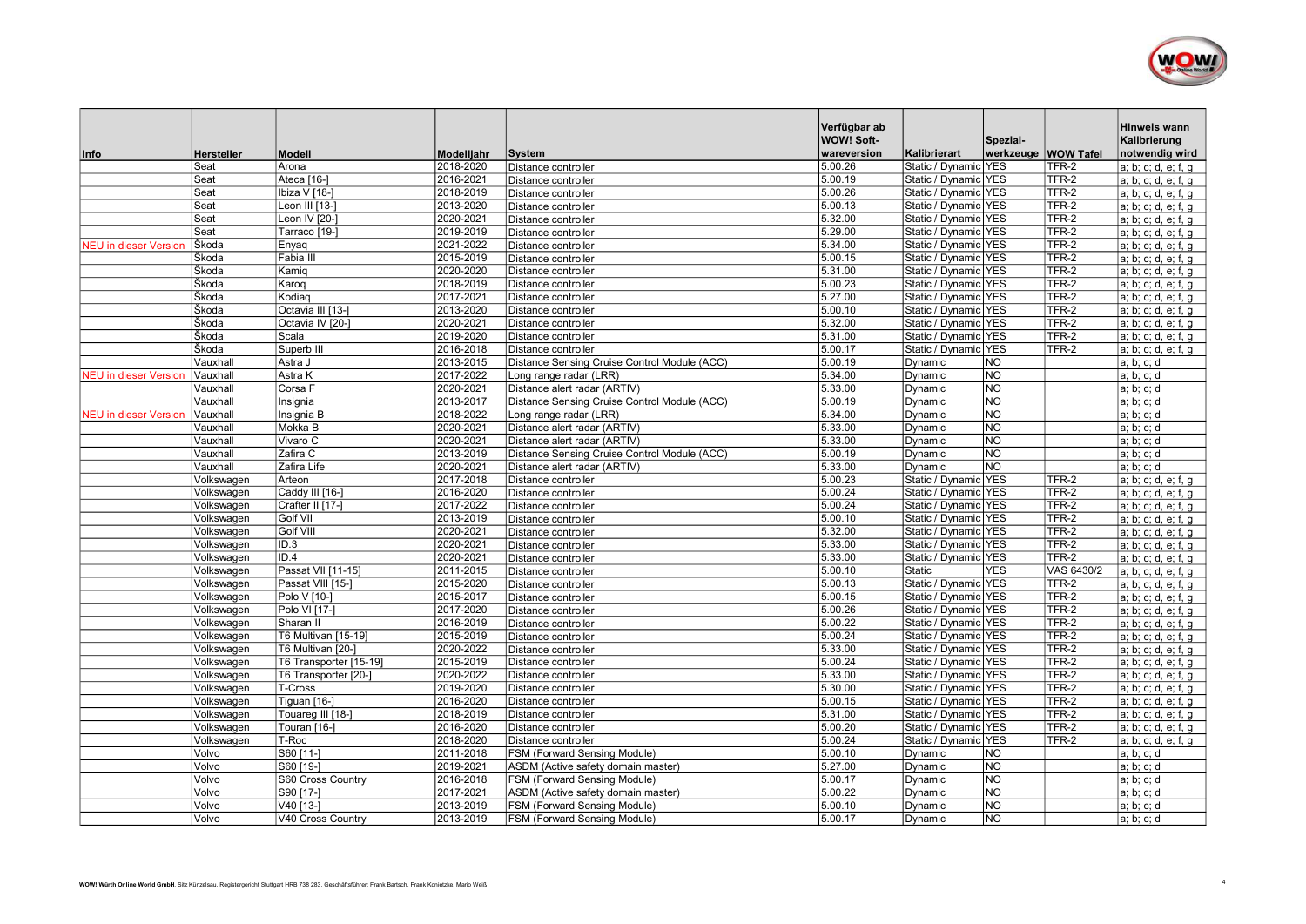

|                              |                           |                               |                         | <b>System</b>                                | Verfügbar ab<br><b>WOW! Soft-</b><br>wareversion | Kalibrierart         | Spezial-<br>werkzeuge   WOW Tafel |            | Hinweis wann<br>Kalibrierung<br>notwendig wird |
|------------------------------|---------------------------|-------------------------------|-------------------------|----------------------------------------------|--------------------------------------------------|----------------------|-----------------------------------|------------|------------------------------------------------|
| Info                         | <b>Hersteller</b><br>Seat | <b>Modell</b><br>Arona        | Modelljahr<br>2018-2020 | Distance controller                          | 5.00.26                                          | Static / Dynamic YES |                                   | TFR-2      | a; b; c; d, e; f, g                            |
|                              | Seat                      | Ateca [16-]                   | 2016-2021               | Distance controller                          | 5.00.19                                          | Static / Dynamic YES |                                   | TFR-2      | a; b; c; d, e; f, g                            |
|                              | Seat                      | Ibiza V [18-]                 | 2018-2019               | Distance controller                          | 5.00.26                                          | Static / Dynamic YES |                                   | TFR-2      | a; b; c; d, e; f, g                            |
|                              | Seat                      | Leon III [13-]                | 2013-2020               | Distance controller                          | 5.00.13                                          | Static / Dynamic YES |                                   | TFR-2      | a; b; c; d, e; f, g                            |
|                              | Seat                      | Leon IV [20-1                 | 2020-2021               | Distance controller                          | 5.32.00                                          | Static / Dynamic YES |                                   | $TFR-2$    | a; b; c; d, e; f, g                            |
|                              | Seat                      | Tarraco [19-]                 | 2019-2019               | Distance controller                          | 5.29.00                                          | Static / Dynamic YES |                                   | TFR-2      | a; b; c; d, e; f, g                            |
| <b>IEU</b> in dieser Version | Škoda                     | Enyaq                         | 2021-2022               | Distance controller                          | 5.34.00                                          | Static / Dynamic YES |                                   | TFR-2      | a; b; c; d, e; f, g                            |
|                              | Škoda                     | Fabia III                     | 2015-2019               | Distance controller                          | 5.00.15                                          | Static / Dynamic YES |                                   | TFR-2      | a; b; c; d, e; f, g                            |
|                              | Škoda                     | Kamig                         | 2020-2020               | Distance controller                          | 5.31.00                                          | Static / Dynamic YES |                                   | TFR-2      | a; b; c; d, e; f, g                            |
|                              | Škoda                     | Karog                         | 2018-2019               | Distance controller                          | 5.00.23                                          | Static / Dynamic YES |                                   | TFR-2      | a; b; c; d, e; f, g                            |
|                              | Škoda                     | Kodiag                        | 2017-2021               | Distance controller                          | 5.27.00                                          | Static / Dynamic YES |                                   | TFR-2      | a; b; c; d, e; f, g                            |
|                              | Škoda                     | Octavia III [13-]             | 2013-2020               | Distance controller                          | 5.00.10                                          | Static / Dynamic YES |                                   | TFR-2      | a; b; c; d, e; f, g                            |
|                              | Škoda                     | Octavia IV [20-]              | 2020-2021               | Distance controller                          | 5.32.00                                          | Static / Dynamic YES |                                   | TFR-2      | a; b; c; d, e; f, g                            |
|                              | Škoda                     | Scala                         | 2019-2020               | Distance controller                          | 5.31.00                                          | Static / Dynamic YES |                                   | $TFR-2$    | a; b; c; d, e; f, g                            |
|                              | Škoda                     | Superb III                    | 2016-2018               | Distance controller                          | 5.00.17                                          | Static / Dynamic YES |                                   | TFR-2      | a; b; c; d, e; f, g                            |
|                              | Vauxhall                  | Astra J                       | 2013-2015               | Distance Sensing Cruise Control Module (ACC) | 5.00.19                                          | Dynamic              | <b>NO</b>                         |            | a; b; c; d                                     |
| <b>NEU</b> in dieser Version | Vauxhall                  | Astra K                       | 2017-2022               | Long range radar (LRR)                       | 5.34.00                                          | Dynamic              | <b>NO</b>                         |            | a; b; c; d                                     |
|                              | Vauxhall                  | Corsa F                       | 2020-2021               | Distance alert radar (ARTIV)                 | 5.33.00                                          | Dynamic              | NO                                |            | a; b; c; d                                     |
|                              | Vauxhall                  | Insignia                      | 2013-2017               | Distance Sensing Cruise Control Module (ACC) | 5.00.19                                          | Dynamic              | $\overline{NO}$                   |            | a; b; c; d                                     |
| <b>JEU</b> in dieser Version | Vauxhall                  | Insignia B                    | 2018-2022               | Long range radar (LRR)                       | 5.34.00                                          | Dynamic              | <b>NO</b>                         |            | a; b; c; d                                     |
|                              | Vauxhall                  | Mokka B                       | 2020-2021               | Distance alert radar (ARTIV)                 | 5.33.00                                          | Dynamic              | NO                                |            | a; b; c; d                                     |
|                              | Vauxhall                  | $\overline{\text{V}}$ ivaro C | 2020-2021               | Distance alert radar (ARTIV)                 | 5.33.00                                          | Dynamic              | <b>NO</b>                         |            | a; b; c; d                                     |
|                              | Vauxhall                  | Zafira C                      | 2013-2019               | Distance Sensing Cruise Control Module (ACC) | 5.00.19                                          | Dynamic              | <b>NO</b>                         |            | a; b; c; d                                     |
|                              | Vauxhall                  | Zafira Life                   | 2020-2021               | Distance alert radar (ARTIV)                 | 5.33.00                                          | Dynamic              | <b>NO</b>                         |            | a; b; c; d                                     |
|                              | Volkswagen                | Arteon                        | 2017-2018               | Distance controller                          | 5.00.23                                          | Static / Dynamic YES |                                   | TFR-2      | a; b; c; d, e; f, g                            |
|                              | Volkswagen                | Caddy III [16-]               | 2016-2020               | Distance controller                          | 5.00.24                                          | Static / Dynamic YES |                                   | TFR-2      | a; b; c; d, e; f, g                            |
|                              | Volkswagen                | Crafter II [17-]              | 2017-2022               | Distance controller                          | 5.00.24                                          | Static / Dynamic YES |                                   | $TFR-2$    | a; b; c; d, e; f, g                            |
|                              | Volkswagen                | <b>Golf VII</b>               | 2013-2019               | Distance controller                          | 5.00.10                                          | Static / Dynamic YES |                                   | TFR-2      | a; b; c; d, e; f, g                            |
|                              | Volkswagen                | Golf VIII                     | 2020-2021               | Distance controller                          | 5.32.00                                          | Static / Dynamic YES |                                   | TFR-2      | a; b; c; d, e; f, g                            |
|                              | Volkswagen                | ID.3                          | 2020-2021               | Distance controller                          | 5.33.00                                          | Static / Dynamic YES |                                   | TFR-2      | a; b; c; d, e; f, g                            |
|                              | Volkswagen                | ID.4                          | 2020-2021               | Distance controller                          | 5.33.00                                          | Static / Dynamic YES |                                   | TFR-2      | a; b; c; d, e; f, g                            |
|                              | Volkswagen                | Passat VII [11-15]            | 2011-2015               | Distance controller                          | 5.00.10                                          | Static               | <b>YES</b>                        | VAS 6430/2 | a; b; c; d, e; f, g                            |
|                              | Volkswagen                | Passat VIII [15-]             | 2015-2020               | Distance controller                          | 5.00.13                                          | Static / Dynamic YES |                                   | TFR-2      | a; b; c; d, e; f, g                            |
|                              | Volkswagen                | Polo V [10-]                  | 2015-2017               | Distance controller                          | 5.00.15                                          | Static / Dynamic YES |                                   | TFR-2      | a; b; c; d, e; f, g                            |
|                              | Volkswagen                | Polo VI [17-]                 | 2017-2020               | Distance controller                          | 5.00.26                                          | Static / Dynamic YES |                                   | TFR-2      | a; b; c; d, e; f, g                            |
|                              | Volkswagen                | Sharan II                     | 2016-2019               | Distance controller                          | 5.00.22                                          | Static / Dynamic YES |                                   | TFR-2      | a; b; c; d, e; f, g                            |
|                              | Volkswagen                | T6 Multivan [15-19]           | 2015-2019               | Distance controller                          | 5.00.24                                          | Static / Dynamic YES |                                   | $TFR-2$    | a; b; c; d, e; f, g                            |
|                              | Volkswagen                | T6 Multivan [20-]             | 2020-2022               | Distance controller                          | 5.33.00                                          | Static / Dynamic YES |                                   | TFR-2      | a; b; c; d, e; f, g                            |
|                              | Volkswagen                | T6 Transporter [15-19]        | 2015-2019               | Distance controller                          | 5.00.24                                          | Static / Dynamic YES |                                   | TFR-2      | a; b; c; d, e; f, g                            |
|                              | Volkswagen                | T6 Transporter [20-]          | 2020-2022               | Distance controller                          | 5.33.00                                          | Static / Dynamic YES |                                   | TFR-2      | a; b; c; d, e; f, g                            |
|                              | Volkswagen                | T-Cross                       | 2019-2020               | Distance controller                          | 5.30.00                                          | Static / Dynamic YES |                                   | TFR-2      | a; b; c; d, e; f, g                            |
|                              | Volkswagen                | $Tiguan$ [16-]                | 2016-2020               | Distance controller                          | 5.00.15                                          | Static / Dynamic YES |                                   | TFR-2      | a; b; c; d, e; f, g                            |
|                              | Volkswagen                | Touareg III [18-]             | 2018-2019               | Distance controller                          | 5.31.00                                          | Static / Dynamic YES |                                   | TFR-2      | a; b; c; d, e; f, g                            |
|                              | Volkswagen                | Touran [16-]                  | 2016-2020               | Distance controller                          | 5.00.20                                          | Static / Dynamic YES |                                   | TFR-2      | a; b; c; d, e; f, g                            |
|                              | Volkswagen                | T-Roc                         | 2018-2020               | Distance controller                          | 5.00.24                                          | Static / Dynamic YES |                                   | TFR-2      | a; b; c; d, e; f, g                            |
|                              | Volvo                     | S60 [11-]                     | 2011-2018               | FSM (Forward Sensing Module)                 | 5.00.10                                          | Dynamic              | <b>NO</b>                         |            | a; b; c; d                                     |
|                              | Volvo                     | S60 [19-]                     | 2019-2021               | ASDM (Active safety domain master)           | 5.27.00                                          | Dynamic              | <b>NO</b>                         |            | a; b; c; d                                     |
|                              | Volvo                     | S60 Cross Country             | 2016-2018               | FSM (Forward Sensing Module)                 | 5.00.17                                          | Dynamic              | <b>NO</b>                         |            | a; b; c; d                                     |
|                              | Volvo                     | S90 [17-]                     | 2017-2021               | ASDM (Active safety domain master)           | 5.00.22                                          | Dynamic              | <b>NO</b>                         |            | a; b; c; d                                     |
|                              | Volvo                     | V40 [13-]                     | 2013-2019               | FSM (Forward Sensing Module)                 | 5.00.10                                          | Dynamic              | <b>NO</b>                         |            | a; b; c; d                                     |
|                              | Volvo                     | V40 Cross Country             | 2013-2019               | FSM (Forward Sensing Module)                 | 5.00.17                                          | Dynamic              | INO.                              |            | a; b; c; d                                     |
|                              |                           |                               |                         |                                              |                                                  |                      |                                   |            |                                                |